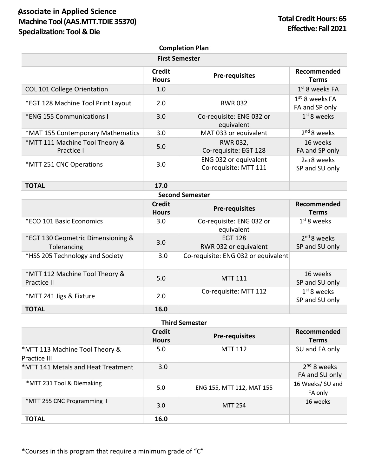## **Associate in Applied Science** S **Machine Tool (AAS.MTT.TDIE 35370) Specialization: Tool & Die**

| <b>Completion Plan</b>                           |                               |                                                |                                    |  |  |  |
|--------------------------------------------------|-------------------------------|------------------------------------------------|------------------------------------|--|--|--|
| <b>First Semester</b>                            |                               |                                                |                                    |  |  |  |
|                                                  | <b>Credit</b><br><b>Hours</b> | <b>Pre-requisites</b>                          | Recommended<br><b>Terms</b>        |  |  |  |
| <b>COL 101 College Orientation</b>               | 1.0                           |                                                | $1st$ 8 weeks FA                   |  |  |  |
| *EGT 128 Machine Tool Print Layout               | 2.0                           | <b>RWR032</b>                                  | $1st$ 8 weeks FA<br>FA and SP only |  |  |  |
| *ENG 155 Communications I                        | 3.0                           | Co-requisite: ENG 032 or<br>equivalent         | $1st$ 8 weeks                      |  |  |  |
| *MAT 155 Contemporary Mathematics                | 3.0                           | MAT 033 or equivalent                          | 2 <sup>nd</sup> 8 weeks            |  |  |  |
| *MTT 111 Machine Tool Theory &<br>Practice I     | 5.0                           | <b>RWR 032,</b><br>Co-requisite: EGT 128       | 16 weeks<br>FA and SP only         |  |  |  |
| *MTT 251 CNC Operations                          | 3.0                           | ENG 032 or equivalent<br>Co-requisite: MTT 111 | 2nd 8 weeks<br>SP and SU only      |  |  |  |
| <b>TOTAL</b>                                     | 17.0                          |                                                |                                    |  |  |  |
| <b>Second Semester</b>                           |                               |                                                |                                    |  |  |  |
|                                                  | <b>Credit</b><br><b>Hours</b> | <b>Pre-requisites</b>                          | Recommended<br><b>Terms</b>        |  |  |  |
| *ECO 101 Basic Economics                         | 3.0                           | Co-requisite: ENG 032 or<br>equivalent         | $1st$ 8 weeks                      |  |  |  |
| *EGT 130 Geometric Dimensioning &<br>Tolerancing | 3.0                           | <b>EGT 128</b><br>RWR 032 or equivalent        | $2nd 8$ weeks<br>SP and SU only    |  |  |  |
| *HSS 205 Technology and Society                  | 3.0                           | Co-requisite: ENG 032 or equivalent            |                                    |  |  |  |
| *MTT 112 Machine Tool Theory &<br>Practice II    | 5.0                           | <b>MTT 111</b>                                 | 16 weeks<br>SP and SU only         |  |  |  |
| *MTT 241 Jigs & Fixture                          | 2.0                           | Co-requisite: MTT 112                          | $1st$ 8 weeks<br>SP and SU only    |  |  |  |
| <b>TOTAL</b>                                     | 16.0                          |                                                |                                    |  |  |  |

| <b>Third Semester</b>                          |                               |                           |                                 |  |  |
|------------------------------------------------|-------------------------------|---------------------------|---------------------------------|--|--|
|                                                | <b>Credit</b><br><b>Hours</b> | <b>Pre-requisites</b>     | Recommended<br>Terms            |  |  |
| *MTT 113 Machine Tool Theory &<br>Practice III | 5.0                           | <b>MTT 112</b>            | SU and FA only                  |  |  |
| *MTT 141 Metals and Heat Treatment             | 3.0                           |                           | $2nd$ 8 weeks<br>FA and SU only |  |  |
| *MTT 231 Tool & Diemaking                      | 5.0                           | ENG 155, MTT 112, MAT 155 | 16 Weeks/SU and<br>FA only      |  |  |
| *MTT 255 CNC Programming II                    | 3.0                           | <b>MTT 254</b>            | 16 weeks                        |  |  |
| <b>TOTAL</b>                                   | 16.0                          |                           |                                 |  |  |